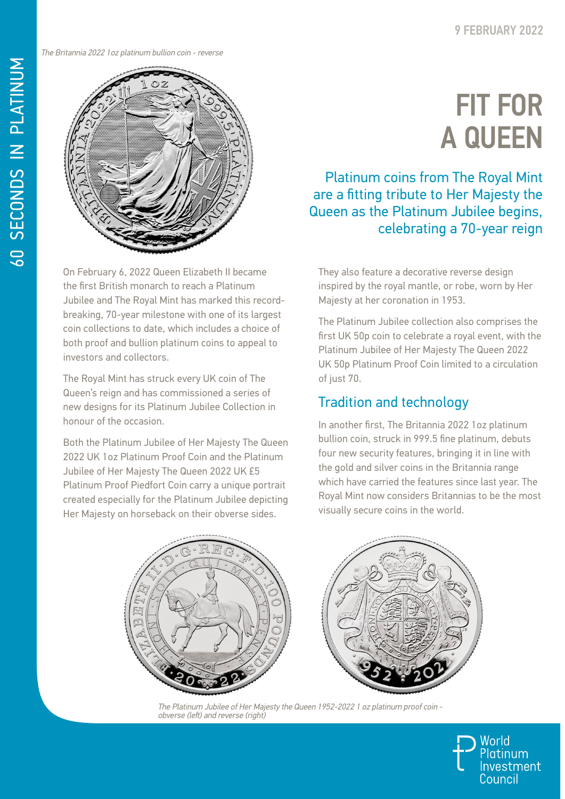The Britannia 2022 1oz platinum bullion coin - reverse



On February 6, 2022 Queen Elizabeth II became the first British monarch to reach a Platinum Jubilee and The Royal Mint has marked this recordbreaking, 70-year milestone with one of its largest coin collections to date, which includes a choice of both proof and bullion platinum coins to appeal to investors and collectors.

The Royal Mint has struck every UK coin of The Queen's reign and has commissioned a series of new designs for its Platinum Jubilee Collection in honour of the occasion.

Both the Platinum Jubilee of Her Majesty The Queen 2022 UK 1oz Platinum Proof Coin and the Platinum Jubilee of Her Majesty The Queen 2022 UK £5 Platinum Proof Piedfort Coin carry a unique portrait created especially for the Platinum Jubilee depicting Her Majesty on horseback on their obverse sides.

## FIT FOR A QUEEN

Platinum coins from The Royal Mint are a fitting tribute to Her Majesty the Queen as the Platinum Jubilee begins, celebrating a 70-year reign

They also feature a decorative reverse design inspired by the royal mantle, or robe, worn by Her Majesty at her coronation in 1953.

The Platinum Jubilee collection also comprises the first UK 50p coin to celebrate a royal event, with the Platinum Jubilee of Her Majesty The Queen 2022 UK 50p Platinum Proof Coin limited to a circulation of just 70.

## Tradition and technology

In another first, The Britannia 2022 1oz platinum bullion coin, struck in 999.5 fine platinum, debuts four new security features, bringing it in line with the gold and silver coins in the Britannia range which have carried the features since last year. The Royal Mint now considers Britannias to be the most visually secure coins in the world.



The Platinum Jubilee of Her Majesty the Queen 1952-2022 1 oz platinum proof coin obverse (left) and reverse (right)